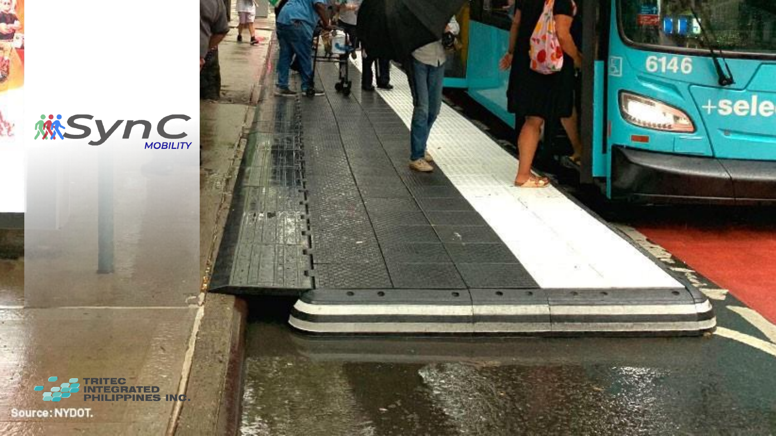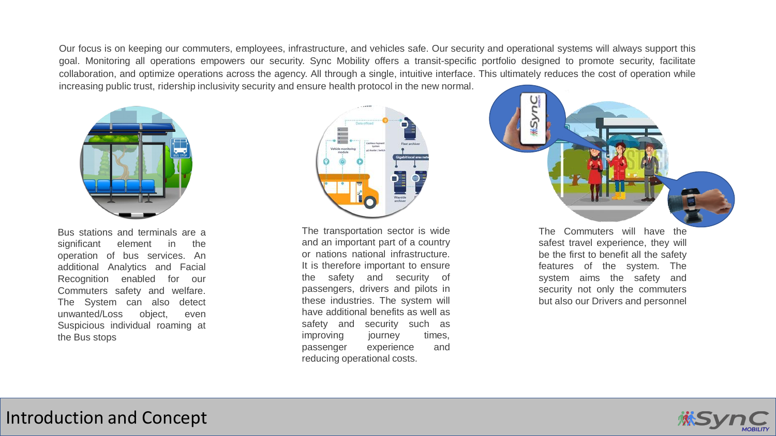Our focus is on keeping our commuters, employees, infrastructure, and vehicles safe. Our security and operational systems will always support this goal. Monitoring all operations empowers our security. Sync Mobility offers a transit-specific portfolio designed to promote security, facilitate collaboration, and optimize operations across the agency. All through a single, intuitive interface. This ultimately reduces the cost of operation while increasing public trust, ridership inclusivity security and ensure health protocol in the new normal.



Bus stations and terminals are a significant element in the operation of bus services. An additional Analytics and Facial Recognition enabled for our Commuters safety and welfare. The System can also detect unwanted/Loss object, even Suspicious individual roaming at the Bus stops



The transportation sector is wide and an important part of a country or nations national infrastructure. It is therefore important to ensure the safety and security of passengers, drivers and pilots in these industries. The system will have additional benefits as well as safety and security such as improving journey times, passenger experience and reducing operational costs.



The Commuters will have the safest travel experience, they will be the first to benefit all the safety features of the system. The system aims the safety and security not only the commuters but also our Drivers and personnel

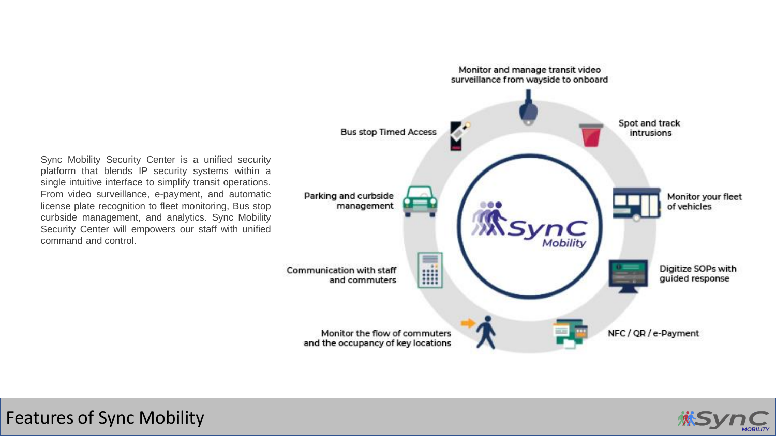Sync Mobility Security Center is a unified security platform that blends IP security systems within a single intuitive interface to simplify transit operations. From video surveillance, e-payment, and automatic license plate recognition to fleet monitoring, Bus stop curbside management, and analytics. Sync Mobility Security Center will empowers our staff with unified command and control.



Features of Sync Mobility

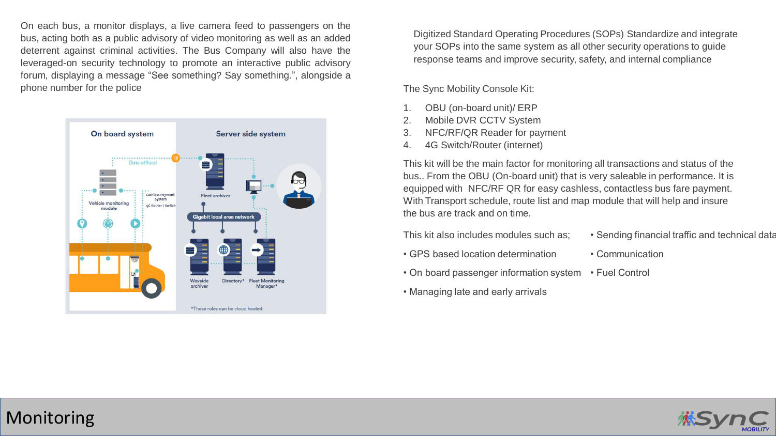On each bus, a monitor displays, a live camera feed to passengers on the bus, acting both as a public advisory of video monitoring as well as an added deterrent against criminal activities. The Bus Company will also have the leveraged-on security technology to promote an interactive public advisory forum, displaying a message "See something? Say something.", alongside a phone number for the police  $\blacksquare$  The Sync Mobility Console Kit:



Digitized Standard Operating Procedures (SOPs) Standardize and integrate your SOPs into the same system as all other security operations to guide response teams and improve security, safety, and internal compliance

- 1. OBU (on-board unit)/ ERP
- 2. Mobile DVR CCTV System
- 3. NFC/RF/QR Reader for payment
- 4. 4G Switch/Router (internet)

This kit will be the main factor for monitoring all transactions and status of the bus.. From the OBU (On-board unit) that is very saleable in performance. It is equipped with NFC/RF QR for easy cashless, contactless bus fare payment. With Transport schedule, route list and map module that will help and insure the bus are track and on time.

This kit also includes modules such as;

- GPS based location determination
- On board passenger information system
- Managing late and early arrivals
- Sending financial traffic and technical data
- Communication
- Fuel Control

## Monitoring

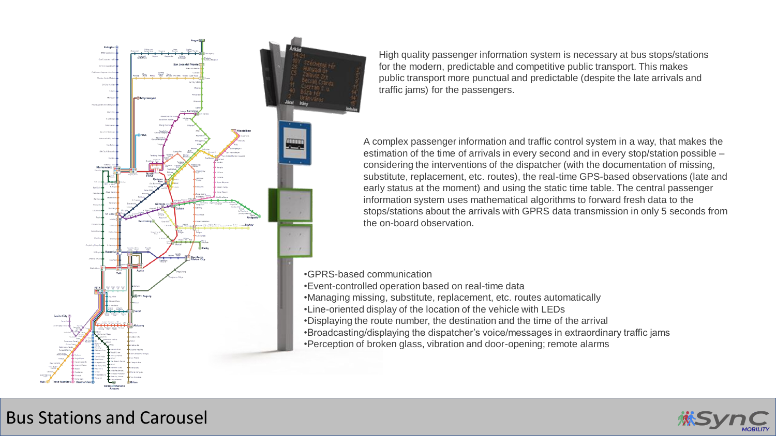

High quality passenger information system is necessary at bus stops/stations for the modern, predictable and competitive public transport. This makes public transport more punctual and predictable (despite the late arrivals and traffic jams) for the passengers.

A complex passenger information and traffic control system in a way, that makes the estimation of the time of arrivals in every second and in every stop/station possible – considering the interventions of the dispatcher (with the documentation of missing, substitute, replacement, etc. routes), the real-time GPS-based observations (late and early status at the moment) and using the static time table. The central passenger information system uses mathematical algorithms to forward fresh data to the stops/stations about the arrivals with GPRS data transmission in only 5 seconds from the on-board observation.

•GPRS-based communication

- •Event-controlled operation based on real-time data
- •Managing missing, substitute, replacement, etc. routes automatically
- •Line-oriented display of the location of the vehicle with LEDs
- •Displaying the route number, the destination and the time of the arrival
- •Broadcasting/displaying the dispatcher's voice/messages in extraordinary traffic jams
- •Perception of broken glass, vibration and door-opening; remote alarms



## Bus Stations and Carousel